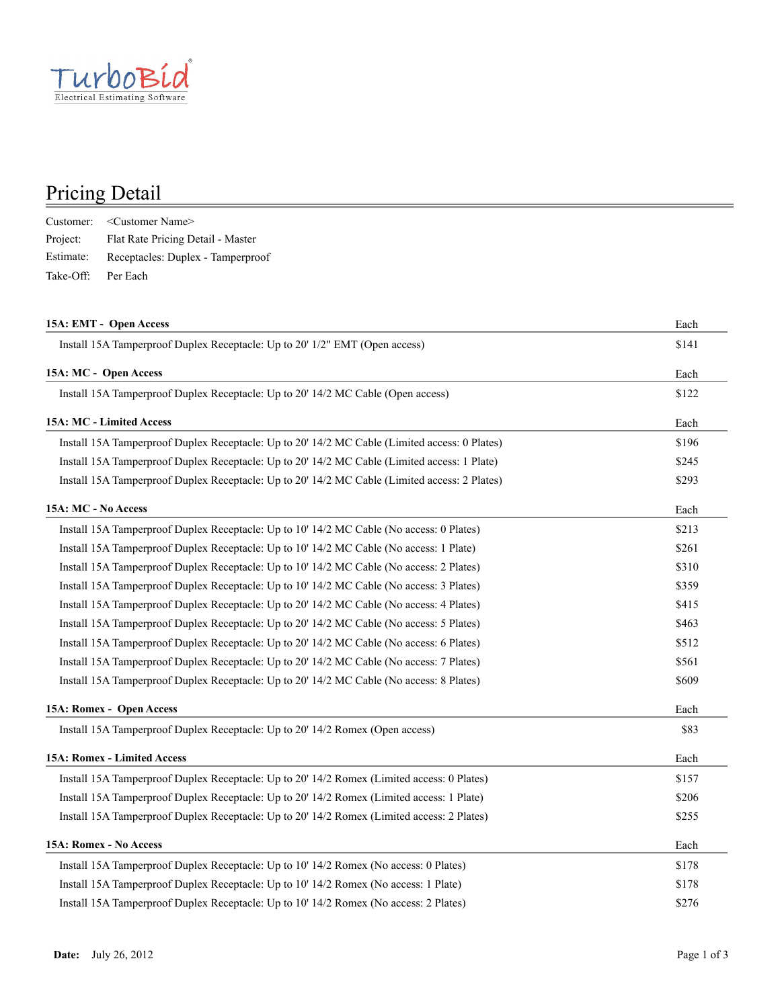

## Pricing Detail

|           | Customer: < Customer Name>        |
|-----------|-----------------------------------|
| Project:  | Flat Rate Pricing Detail - Master |
| Estimate: | Receptacles: Duplex - Tamperproof |
| Take-Off: | Per Each                          |

| 15A: EMT - Open Access                                                                        | Each  |  |
|-----------------------------------------------------------------------------------------------|-------|--|
| Install 15A Tamperproof Duplex Receptacle: Up to 20' 1/2" EMT (Open access)                   | \$141 |  |
| 15A: MC - Open Access                                                                         | Each  |  |
| Install 15A Tamperproof Duplex Receptacle: Up to 20' 14/2 MC Cable (Open access)              | \$122 |  |
| 15A: MC - Limited Access                                                                      | Each  |  |
| Install 15A Tamperproof Duplex Receptacle: Up to 20' 14/2 MC Cable (Limited access: 0 Plates) | \$196 |  |
| Install 15A Tamperproof Duplex Receptacle: Up to 20' 14/2 MC Cable (Limited access: 1 Plate)  | \$245 |  |
| Install 15A Tamperproof Duplex Receptacle: Up to 20' 14/2 MC Cable (Limited access: 2 Plates) | \$293 |  |
| 15A: MC - No Access                                                                           | Each  |  |
| Install 15A Tamperproof Duplex Receptacle: Up to 10' 14/2 MC Cable (No access: 0 Plates)      | \$213 |  |
| Install 15A Tamperproof Duplex Receptacle: Up to 10' 14/2 MC Cable (No access: 1 Plate)       | \$261 |  |
| Install 15A Tamperproof Duplex Receptacle: Up to 10' 14/2 MC Cable (No access: 2 Plates)      | \$310 |  |
| Install 15A Tamperproof Duplex Receptacle: Up to 10' 14/2 MC Cable (No access: 3 Plates)      | \$359 |  |
| Install 15A Tamperproof Duplex Receptacle: Up to 20' 14/2 MC Cable (No access: 4 Plates)      | \$415 |  |
| Install 15A Tamperproof Duplex Receptacle: Up to 20' 14/2 MC Cable (No access: 5 Plates)      | \$463 |  |
| Install 15A Tamperproof Duplex Receptacle: Up to 20' 14/2 MC Cable (No access: 6 Plates)      | \$512 |  |
| Install 15A Tamperproof Duplex Receptacle: Up to 20' 14/2 MC Cable (No access: 7 Plates)      | \$561 |  |
| Install 15A Tamperproof Duplex Receptacle: Up to 20' 14/2 MC Cable (No access: 8 Plates)      | \$609 |  |
| 15A: Romex - Open Access                                                                      | Each  |  |
| Install 15A Tamperproof Duplex Receptacle: Up to 20' 14/2 Romex (Open access)                 | \$83  |  |
| 15A: Romex - Limited Access                                                                   | Each  |  |
| Install 15A Tamperproof Duplex Receptacle: Up to 20' 14/2 Romex (Limited access: 0 Plates)    | \$157 |  |
| Install 15A Tamperproof Duplex Receptacle: Up to 20' 14/2 Romex (Limited access: 1 Plate)     | \$206 |  |
| Install 15A Tamperproof Duplex Receptacle: Up to 20' 14/2 Romex (Limited access: 2 Plates)    | \$255 |  |
| 15A: Romex - No Access                                                                        | Each  |  |
| Install 15A Tamperproof Duplex Receptacle: Up to 10' 14/2 Romex (No access: 0 Plates)         | \$178 |  |
| Install 15A Tamperproof Duplex Receptacle: Up to 10' 14/2 Romex (No access: 1 Plate)          | \$178 |  |
| Install 15A Tamperproof Duplex Receptacle: Up to 10' 14/2 Romex (No access: 2 Plates)         | \$276 |  |
|                                                                                               |       |  |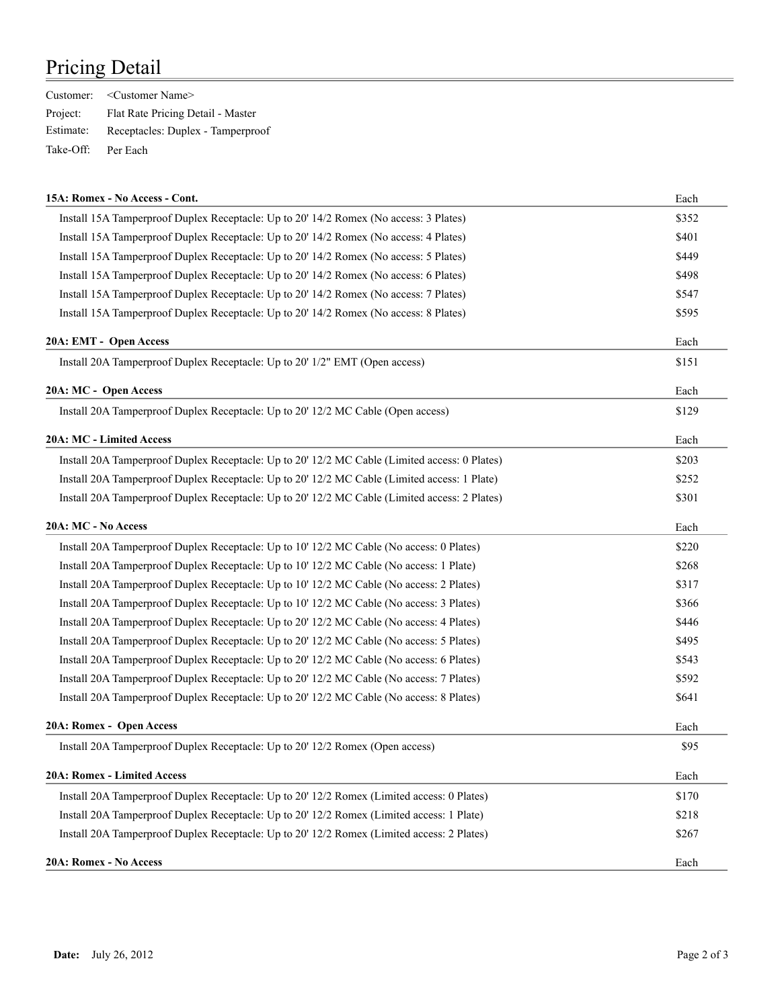## Pricing Detail

|           | Customer: < Customer Name>        |
|-----------|-----------------------------------|
| Project:  | Flat Rate Pricing Detail - Master |
| Estimate: | Receptacles: Duplex - Tamperproof |
| Take-Off: | Per Each                          |

| 15A: Romex - No Access - Cont.                                                                | Each  |
|-----------------------------------------------------------------------------------------------|-------|
| Install 15A Tamperproof Duplex Receptacle: Up to 20' 14/2 Romex (No access: 3 Plates)         | \$352 |
| Install 15A Tamperproof Duplex Receptacle: Up to 20' 14/2 Romex (No access: 4 Plates)         | \$401 |
| Install 15A Tamperproof Duplex Receptacle: Up to 20' 14/2 Romex (No access: 5 Plates)         | \$449 |
| Install 15A Tamperproof Duplex Receptacle: Up to 20' 14/2 Romex (No access: 6 Plates)         | \$498 |
| Install 15A Tamperproof Duplex Receptacle: Up to 20' 14/2 Romex (No access: 7 Plates)         | \$547 |
| Install 15A Tamperproof Duplex Receptacle: Up to 20' 14/2 Romex (No access: 8 Plates)         | \$595 |
| 20A: EMT - Open Access                                                                        | Each  |
| Install 20A Tamperproof Duplex Receptacle: Up to 20' 1/2" EMT (Open access)                   | \$151 |
| 20A: MC - Open Access                                                                         | Each  |
| Install 20A Tamperproof Duplex Receptacle: Up to 20' 12/2 MC Cable (Open access)              | \$129 |
| 20A: MC - Limited Access                                                                      | Each  |
| Install 20A Tamperproof Duplex Receptacle: Up to 20' 12/2 MC Cable (Limited access: 0 Plates) | \$203 |
| Install 20A Tamperproof Duplex Receptacle: Up to 20' 12/2 MC Cable (Limited access: 1 Plate)  | \$252 |
| Install 20A Tamperproof Duplex Receptacle: Up to 20' 12/2 MC Cable (Limited access: 2 Plates) | \$301 |
| 20A: MC - No Access                                                                           | Each  |
| Install 20A Tamperproof Duplex Receptacle: Up to 10' 12/2 MC Cable (No access: 0 Plates)      | \$220 |
| Install 20A Tamperproof Duplex Receptacle: Up to 10' 12/2 MC Cable (No access: 1 Plate)       | \$268 |
| Install 20A Tamperproof Duplex Receptacle: Up to 10' 12/2 MC Cable (No access: 2 Plates)      | \$317 |
| Install 20A Tamperproof Duplex Receptacle: Up to 10' 12/2 MC Cable (No access: 3 Plates)      | \$366 |
| Install 20A Tamperproof Duplex Receptacle: Up to 20' 12/2 MC Cable (No access: 4 Plates)      | \$446 |
| Install 20A Tamperproof Duplex Receptacle: Up to 20' 12/2 MC Cable (No access: 5 Plates)      | \$495 |
| Install 20A Tamperproof Duplex Receptacle: Up to 20' 12/2 MC Cable (No access: 6 Plates)      | \$543 |
| Install 20A Tamperproof Duplex Receptacle: Up to 20' 12/2 MC Cable (No access: 7 Plates)      | \$592 |
| Install 20A Tamperproof Duplex Receptacle: Up to 20' 12/2 MC Cable (No access: 8 Plates)      | \$641 |
| 20A: Romex - Open Access                                                                      | Each  |
| Install 20A Tamperproof Duplex Receptacle: Up to 20' 12/2 Romex (Open access)                 | \$95  |
| 20A: Romex - Limited Access                                                                   | Each  |
| Install 20A Tamperproof Duplex Receptacle: Up to 20' 12/2 Romex (Limited access: 0 Plates)    | \$170 |
| Install 20A Tamperproof Duplex Receptacle: Up to 20' 12/2 Romex (Limited access: 1 Plate)     | \$218 |
| Install 20A Tamperproof Duplex Receptacle: Up to 20' 12/2 Romex (Limited access: 2 Plates)    | \$267 |
| 20A: Romex - No Access                                                                        | Each  |